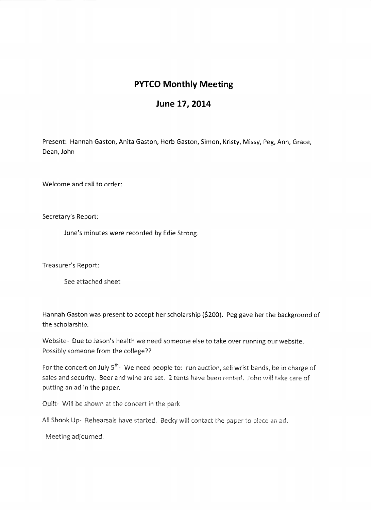### **PYTCO Monthly Meeting**

#### **June 17, 2014**

Present: Hannah Gaston, Anita Gaston, Herb Gaston, Simon, Kristy, Missy, Peg, Ann, Grace, Dean, John

Welcome and call to order:

Secretary's Report:

June's minutes were recorded by Edie Strong.

Treasurer's Report:

See attached sheet

Hannah Gaston was present to accept her scholarship (\$200}. Peg gave her the background of the scholarship.

Website- Due to Jason's health we need someone else to take over running our website. Possibly someone from the college??

For the concert on July  $5^{th}$ - We need people to: run auction, sell wrist bands, be in charge of sales and security. Beer and wine are set. 2 tents have been rented. John will take care of putting an ad in the paper.

Quilt- Will be shown at the concert in the park

All Shook Up- Rehearsals have started. Becky will contact the paper to place an ad.

Meeting adjourned.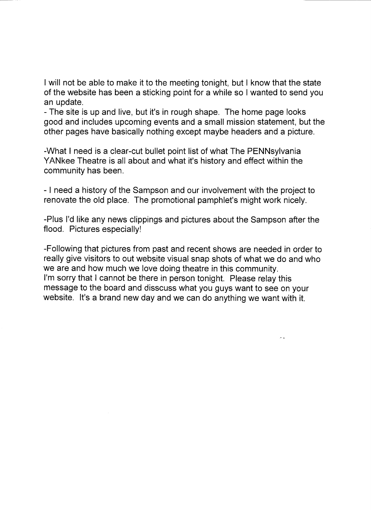I will not be able to make it to the meeting tonight, but I know that the state of the website has been a sticking point for a while so I wanted to send you an update.

- The site is up and live, but it's in rough shape. The home page looks good and includes upcoming events and a small mission statement, but the other pages have basically nothing except maybe headers and a picture.

-What I need is a clear-cut bullet point list of what The PENNsylvania YANkee Theatre is all about and what it's history and effect within the community has been.

- I need a history of the Sampson and our involvement with the project to renovate the old place. The promotional pamphlet's might work nicely.

-Plus I'd like any news clippings and pictures about the Sampson after the flood. Pictures especially!

-Following that pictures from past and recent shows are needed in order to really give visitors to out website visual snap shots of what we do and who we are and how much we love doing theatre in this community. I'm sorry that I cannot be there in person tonight. Please relay this message to the board and disscuss what you guys want to see on your website. It's a brand new day and we can do anything we want with it.

 $\sim$